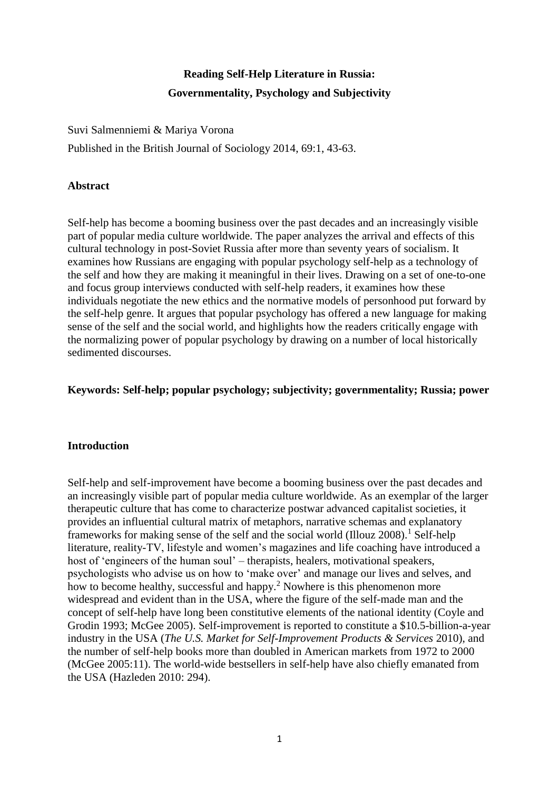# **Reading Self-Help Literature in Russia: Governmentality, Psychology and Subjectivity**

Suvi Salmenniemi & Mariya Vorona Published in the British Journal of Sociology 2014, 69:1, 43-63.

# **Abstract**

Self-help has become a booming business over the past decades and an increasingly visible part of popular media culture worldwide. The paper analyzes the arrival and effects of this cultural technology in post-Soviet Russia after more than seventy years of socialism. It examines how Russians are engaging with popular psychology self-help as a technology of the self and how they are making it meaningful in their lives. Drawing on a set of one-to-one and focus group interviews conducted with self-help readers, it examines how these individuals negotiate the new ethics and the normative models of personhood put forward by the self-help genre. It argues that popular psychology has offered a new language for making sense of the self and the social world, and highlights how the readers critically engage with the normalizing power of popular psychology by drawing on a number of local historically sedimented discourses.

# **Keywords: Self-help; popular psychology; subjectivity; governmentality; Russia; power**

# **Introduction**

Self-help and self-improvement have become a booming business over the past decades and an increasingly visible part of popular media culture worldwide. As an exemplar of the larger therapeutic culture that has come to characterize postwar advanced capitalist societies, it provides an influential cultural matrix of metaphors, narrative schemas and explanatory frameworks for making sense of the self and the social world (Illouz 2008).<sup>1</sup> Self-help literature, reality-TV, lifestyle and women's magazines and life coaching have introduced a host of 'engineers of the human soul' – therapists, healers, motivational speakers, psychologists who advise us on how to 'make over' and manage our lives and selves, and how to become healthy, successful and happy.<sup>2</sup> Nowhere is this phenomenon more widespread and evident than in the USA, where the figure of the self-made man and the concept of self-help have long been constitutive elements of the national identity (Coyle and Grodin 1993; McGee 2005). Self-improvement is reported to constitute a \$10.5-billion-a-year industry in the USA (*The U.S. Market for Self-Improvement Products & Services* 2010), and the number of self-help books more than doubled in American markets from 1972 to 2000 (McGee 2005:11). The world-wide bestsellers in self-help have also chiefly emanated from the USA (Hazleden 2010: 294).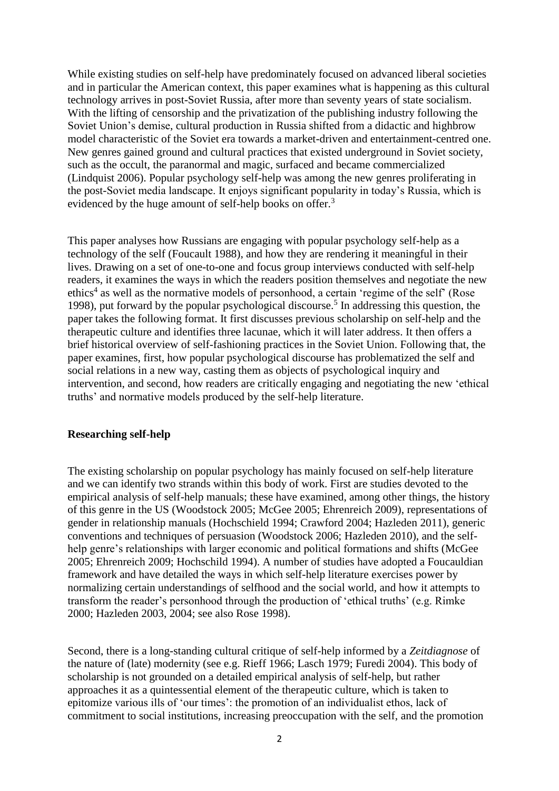While existing studies on self-help have predominately focused on advanced liberal societies and in particular the American context, this paper examines what is happening as this cultural technology arrives in post-Soviet Russia, after more than seventy years of state socialism. With the lifting of censorship and the privatization of the publishing industry following the Soviet Union's demise, cultural production in Russia shifted from a didactic and highbrow model characteristic of the Soviet era towards a market-driven and entertainment-centred one. New genres gained ground and cultural practices that existed underground in Soviet society, such as the occult, the paranormal and magic, surfaced and became commercialized (Lindquist 2006). Popular psychology self-help was among the new genres proliferating in the post-Soviet media landscape. It enjoys significant popularity in today's Russia, which is evidenced by the huge amount of self-help books on offer.<sup>3</sup>

This paper analyses how Russians are engaging with popular psychology self-help as a technology of the self (Foucault 1988), and how they are rendering it meaningful in their lives. Drawing on a set of one-to-one and focus group interviews conducted with self-help readers, it examines the ways in which the readers position themselves and negotiate the new ethics<sup>4</sup> as well as the normative models of personhood, a certain 'regime of the self' (Rose 1998), put forward by the popular psychological discourse. 5 In addressing this question, the paper takes the following format. It first discusses previous scholarship on self-help and the therapeutic culture and identifies three lacunae, which it will later address. It then offers a brief historical overview of self-fashioning practices in the Soviet Union. Following that, the paper examines, first, how popular psychological discourse has problematized the self and social relations in a new way, casting them as objects of psychological inquiry and intervention, and second, how readers are critically engaging and negotiating the new 'ethical truths' and normative models produced by the self-help literature.

#### **Researching self-help**

The existing scholarship on popular psychology has mainly focused on self-help literature and we can identify two strands within this body of work. First are studies devoted to the empirical analysis of self-help manuals; these have examined, among other things, the history of this genre in the US (Woodstock 2005; McGee 2005; Ehrenreich 2009), representations of gender in relationship manuals (Hochschield 1994; Crawford 2004; Hazleden 2011), generic conventions and techniques of persuasion (Woodstock 2006; Hazleden 2010), and the selfhelp genre's relationships with larger economic and political formations and shifts (McGee 2005; Ehrenreich 2009; Hochschild 1994). A number of studies have adopted a Foucauldian framework and have detailed the ways in which self-help literature exercises power by normalizing certain understandings of selfhood and the social world, and how it attempts to transform the reader's personhood through the production of 'ethical truths' (e.g. Rimke 2000; Hazleden 2003, 2004; see also Rose 1998).

Second, there is a long-standing cultural critique of self-help informed by a *Zeitdiagnose* of the nature of (late) modernity (see e.g. Rieff 1966; Lasch 1979; Furedi 2004). This body of scholarship is not grounded on a detailed empirical analysis of self-help, but rather approaches it as a quintessential element of the therapeutic culture, which is taken to epitomize various ills of 'our times': the promotion of an individualist ethos, lack of commitment to social institutions, increasing preoccupation with the self, and the promotion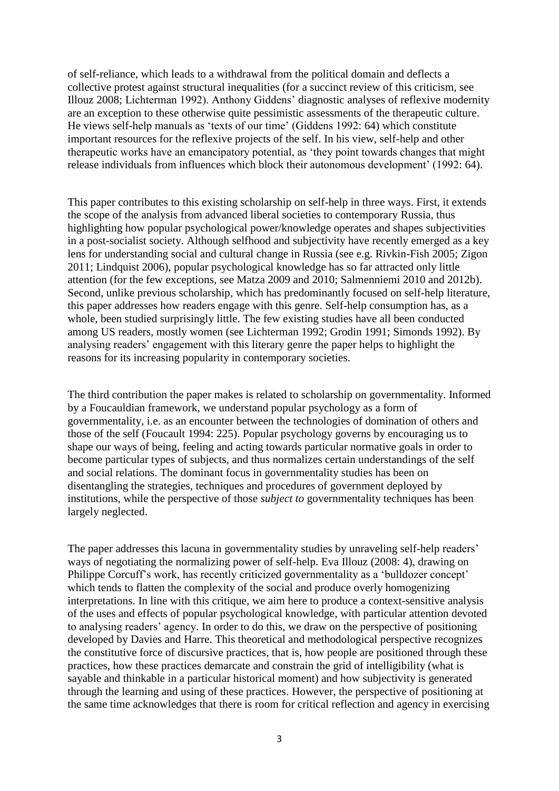of self-reliance, which leads to a withdrawal from the political domain and deflects a collective protest against structural inequalities (for a succinct review of this criticism, see Illouz 2008; Lichterman 1992). Anthony Giddens' diagnostic analyses of reflexive modernity are an exception to these otherwise quite pessimistic assessments of the therapeutic culture. He views self-help manuals as 'texts of our time' (Giddens 1992: 64) which constitute important resources for the reflexive projects of the self. In his view, self-help and other therapeutic works have an emancipatory potential, as 'they point towards changes that might release individuals from influences which block their autonomous development' (1992: 64).

This paper contributes to this existing scholarship on self-help in three ways. First, it extends the scope of the analysis from advanced liberal societies to contemporary Russia, thus highlighting how popular psychological power/knowledge operates and shapes subjectivities in a post-socialist society. Although selfhood and subjectivity have recently emerged as a key lens for understanding social and cultural change in Russia (see e.g. Rivkin-Fish 2005; Zigon 2011; Lindquist 2006), popular psychological knowledge has so far attracted only little attention (for the few exceptions, see Matza 2009 and 2010; Salmenniemi 2010 and 2012b). Second, unlike previous scholarship, which has predominantly focused on self-help literature, this paper addresses how readers engage with this genre. Self-help consumption has, as a whole, been studied surprisingly little. The few existing studies have all been conducted among US readers, mostly women (see Lichterman 1992; Grodin 1991; Simonds 1992). By analysing readers' engagement with this literary genre the paper helps to highlight the reasons for its increasing popularity in contemporary societies.

The third contribution the paper makes is related to scholarship on governmentality. Informed by a Foucauldian framework, we understand popular psychology as a form of governmentality, i.e. as an encounter between the technologies of domination of others and those of the self (Foucault 1994: 225). Popular psychology governs by encouraging us to shape our ways of being, feeling and acting towards particular normative goals in order to become particular types of subjects, and thus normalizes certain understandings of the self and social relations. The dominant focus in governmentality studies has been on disentangling the strategies, techniques and procedures of government deployed by institutions, while the perspective of those *subject to* governmentality techniques has been largely neglected.

The paper addresses this lacuna in governmentality studies by unraveling self-help readers' ways of negotiating the normalizing power of self-help. Eva Illouz (2008: 4), drawing on Philippe Corcuff's work, has recently criticized governmentality as a 'bulldozer concept' which tends to flatten the complexity of the social and produce overly homogenizing interpretations. In line with this critique, we aim here to produce a context-sensitive analysis of the uses and effects of popular psychological knowledge, with particular attention devoted to analysing readers' agency. In order to do this, we draw on the perspective of positioning developed by Davies and Harre. This theoretical and methodological perspective recognizes the constitutive force of discursive practices, that is, how people are positioned through these practices, how these practices demarcate and constrain the grid of intelligibility (what is sayable and thinkable in a particular historical moment) and how subjectivity is generated through the learning and using of these practices. However, the perspective of positioning at the same time acknowledges that there is room for critical reflection and agency in exercising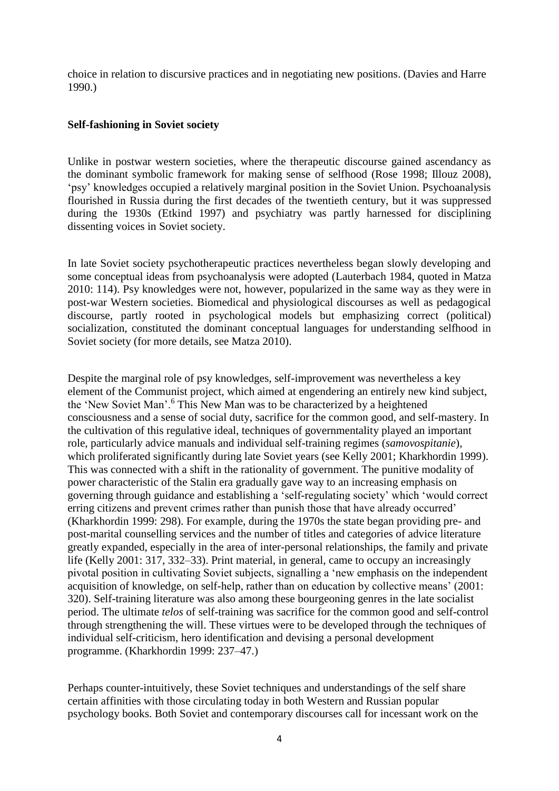choice in relation to discursive practices and in negotiating new positions. (Davies and Harre 1990.)

## **Self-fashioning in Soviet society**

Unlike in postwar western societies, where the therapeutic discourse gained ascendancy as the dominant symbolic framework for making sense of selfhood (Rose 1998; Illouz 2008), 'psy' knowledges occupied a relatively marginal position in the Soviet Union. Psychoanalysis flourished in Russia during the first decades of the twentieth century, but it was suppressed during the 1930s (Etkind 1997) and psychiatry was partly harnessed for disciplining dissenting voices in Soviet society.

In late Soviet society psychotherapeutic practices nevertheless began slowly developing and some conceptual ideas from psychoanalysis were adopted (Lauterbach 1984, quoted in Matza 2010: 114). Psy knowledges were not, however, popularized in the same way as they were in post-war Western societies. Biomedical and physiological discourses as well as pedagogical discourse, partly rooted in psychological models but emphasizing correct (political) socialization, constituted the dominant conceptual languages for understanding selfhood in Soviet society (for more details, see Matza 2010).

Despite the marginal role of psy knowledges, self-improvement was nevertheless a key element of the Communist project, which aimed at engendering an entirely new kind subject, the 'New Soviet Man'.<sup>6</sup> This New Man was to be characterized by a heightened consciousness and a sense of social duty, sacrifice for the common good, and self-mastery. In the cultivation of this regulative ideal, techniques of governmentality played an important role, particularly advice manuals and individual self-training regimes (*samovospitanie*), which proliferated significantly during late Soviet years (see Kelly 2001; Kharkhordin 1999). This was connected with a shift in the rationality of government. The punitive modality of power characteristic of the Stalin era gradually gave way to an increasing emphasis on governing through guidance and establishing a 'self-regulating society' which 'would correct erring citizens and prevent crimes rather than punish those that have already occurred' (Kharkhordin 1999: 298). For example, during the 1970s the state began providing pre- and post-marital counselling services and the number of titles and categories of advice literature greatly expanded, especially in the area of inter-personal relationships, the family and private life (Kelly 2001: 317, 332–33). Print material, in general, came to occupy an increasingly pivotal position in cultivating Soviet subjects, signalling a 'new emphasis on the independent acquisition of knowledge, on self-help, rather than on education by collective means' (2001: 320). Self-training literature was also among these bourgeoning genres in the late socialist period. The ultimate *telos* of self-training was sacrifice for the common good and self-control through strengthening the will. These virtues were to be developed through the techniques of individual self-criticism, hero identification and devising a personal development programme. (Kharkhordin 1999: 237–47.)

Perhaps counter-intuitively, these Soviet techniques and understandings of the self share certain affinities with those circulating today in both Western and Russian popular psychology books. Both Soviet and contemporary discourses call for incessant work on the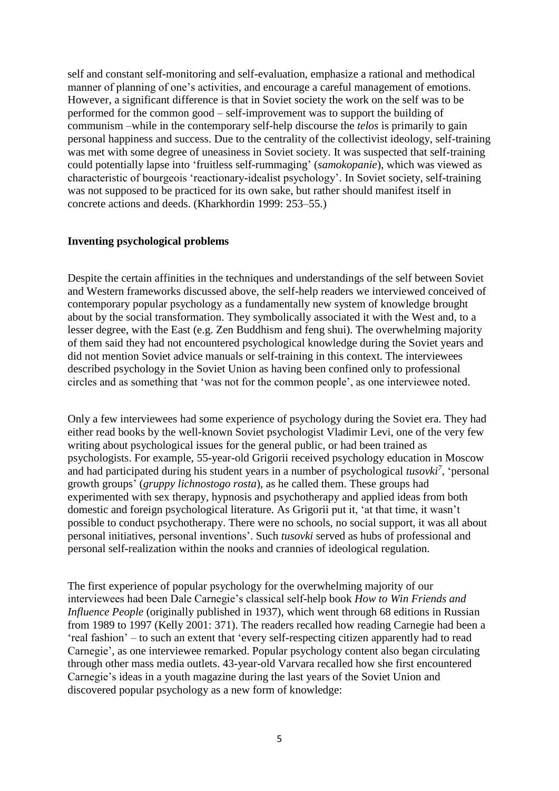self and constant self-monitoring and self-evaluation, emphasize a rational and methodical manner of planning of one's activities, and encourage a careful management of emotions. However, a significant difference is that in Soviet society the work on the self was to be performed for the common good – self-improvement was to support the building of communism –while in the contemporary self-help discourse the *telos* is primarily to gain personal happiness and success. Due to the centrality of the collectivist ideology, self-training was met with some degree of uneasiness in Soviet society. It was suspected that self-training could potentially lapse into 'fruitless self-rummaging' (*samokopanie*), which was viewed as characteristic of bourgeois 'reactionary-idealist psychology'. In Soviet society, self-training was not supposed to be practiced for its own sake, but rather should manifest itself in concrete actions and deeds. (Kharkhordin 1999: 253–55.)

### **Inventing psychological problems**

Despite the certain affinities in the techniques and understandings of the self between Soviet and Western frameworks discussed above, the self-help readers we interviewed conceived of contemporary popular psychology as a fundamentally new system of knowledge brought about by the social transformation. They symbolically associated it with the West and, to a lesser degree, with the East (e.g. Zen Buddhism and feng shui). The overwhelming majority of them said they had not encountered psychological knowledge during the Soviet years and did not mention Soviet advice manuals or self-training in this context. The interviewees described psychology in the Soviet Union as having been confined only to professional circles and as something that 'was not for the common people', as one interviewee noted.

Only a few interviewees had some experience of psychology during the Soviet era. They had either read books by the well-known Soviet psychologist Vladimir Levi, one of the very few writing about psychological issues for the general public, or had been trained as psychologists. For example, 55-year-old Grigorii received psychology education in Moscow and had participated during his student years in a number of psychological *tusovki<sup>7</sup>* , 'personal growth groups' (*gruppy lichnostogo rosta*), as he called them. These groups had experimented with sex therapy, hypnosis and psychotherapy and applied ideas from both domestic and foreign psychological literature. As Grigorii put it, 'at that time, it wasn't possible to conduct psychotherapy. There were no schools, no social support, it was all about personal initiatives, personal inventions'. Such *tusovki* served as hubs of professional and personal self-realization within the nooks and crannies of ideological regulation.

The first experience of popular psychology for the overwhelming majority of our interviewees had been Dale Carnegie's classical self-help book *How to Win Friends and Influence People* (originally published in 1937), which went through 68 editions in Russian from 1989 to 1997 (Kelly 2001: 371). The readers recalled how reading Carnegie had been a 'real fashion' – to such an extent that 'every self-respecting citizen apparently had to read Carnegie', as one interviewee remarked. Popular psychology content also began circulating through other mass media outlets. 43-year-old Varvara recalled how she first encountered Carnegie's ideas in a youth magazine during the last years of the Soviet Union and discovered popular psychology as a new form of knowledge: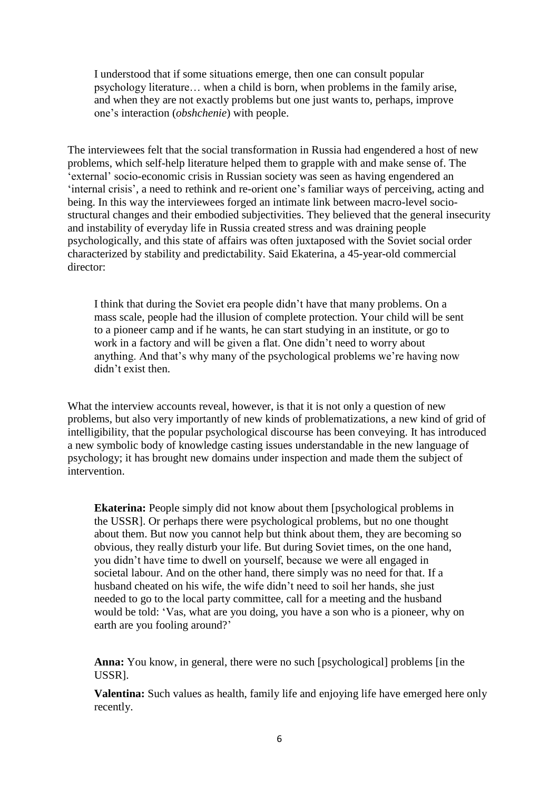I understood that if some situations emerge, then one can consult popular psychology literature… when a child is born, when problems in the family arise, and when they are not exactly problems but one just wants to, perhaps, improve one's interaction (*obshchenie*) with people.

The interviewees felt that the social transformation in Russia had engendered a host of new problems, which self-help literature helped them to grapple with and make sense of. The 'external' socio-economic crisis in Russian society was seen as having engendered an 'internal crisis', a need to rethink and re-orient one's familiar ways of perceiving, acting and being. In this way the interviewees forged an intimate link between macro-level sociostructural changes and their embodied subjectivities. They believed that the general insecurity and instability of everyday life in Russia created stress and was draining people psychologically, and this state of affairs was often juxtaposed with the Soviet social order characterized by stability and predictability. Said Ekaterina, a 45-year-old commercial director:

I think that during the Soviet era people didn't have that many problems. On a mass scale, people had the illusion of complete protection. Your child will be sent to a pioneer camp and if he wants, he can start studying in an institute, or go to work in a factory and will be given a flat. One didn't need to worry about anything. And that's why many of the psychological problems we're having now didn't exist then.

What the interview accounts reveal, however, is that it is not only a question of new problems, but also very importantly of new kinds of problematizations, a new kind of grid of intelligibility, that the popular psychological discourse has been conveying. It has introduced a new symbolic body of knowledge casting issues understandable in the new language of psychology; it has brought new domains under inspection and made them the subject of intervention.

**Ekaterina:** People simply did not know about them [psychological problems in the USSR]. Or perhaps there were psychological problems, but no one thought about them. But now you cannot help but think about them, they are becoming so obvious, they really disturb your life. But during Soviet times, on the one hand, you didn't have time to dwell on yourself, because we were all engaged in societal labour. And on the other hand, there simply was no need for that. If a husband cheated on his wife, the wife didn't need to soil her hands, she just needed to go to the local party committee, call for a meeting and the husband would be told: 'Vas, what are you doing, you have a son who is a pioneer, why on earth are you fooling around?'

**Anna:** You know, in general, there were no such [psychological] problems [in the USSR].

**Valentina:** Such values as health, family life and enjoying life have emerged here only recently.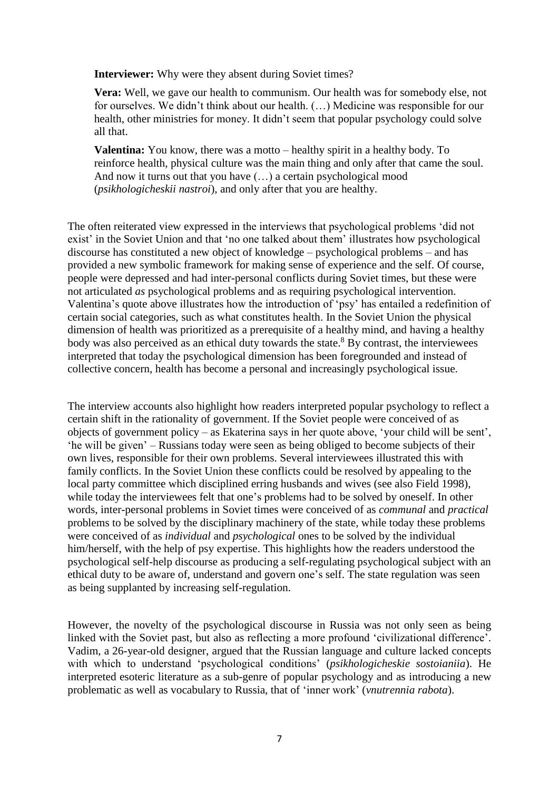**Interviewer:** Why were they absent during Soviet times?

**Vera:** Well, we gave our health to communism. Our health was for somebody else, not for ourselves. We didn't think about our health. (…) Medicine was responsible for our health, other ministries for money. It didn't seem that popular psychology could solve all that.

**Valentina:** You know, there was a motto – healthy spirit in a healthy body. To reinforce health, physical culture was the main thing and only after that came the soul. And now it turns out that you have (…) a certain psychological mood (*psikhologicheskii nastroi*), and only after that you are healthy.

The often reiterated view expressed in the interviews that psychological problems 'did not exist' in the Soviet Union and that 'no one talked about them' illustrates how psychological discourse has constituted a new object of knowledge – psychological problems – and has provided a new symbolic framework for making sense of experience and the self. Of course, people were depressed and had inter-personal conflicts during Soviet times, but these were not articulated *as* psychological problems and as requiring psychological intervention. Valentina's quote above illustrates how the introduction of 'psy' has entailed a redefinition of certain social categories, such as what constitutes health. In the Soviet Union the physical dimension of health was prioritized as a prerequisite of a healthy mind, and having a healthy body was also perceived as an ethical duty towards the state.<sup>8</sup> By contrast, the interviewees interpreted that today the psychological dimension has been foregrounded and instead of collective concern, health has become a personal and increasingly psychological issue.

The interview accounts also highlight how readers interpreted popular psychology to reflect a certain shift in the rationality of government. If the Soviet people were conceived of as objects of government policy – as Ekaterina says in her quote above, 'your child will be sent', 'he will be given' – Russians today were seen as being obliged to become subjects of their own lives, responsible for their own problems. Several interviewees illustrated this with family conflicts. In the Soviet Union these conflicts could be resolved by appealing to the local party committee which disciplined erring husbands and wives (see also Field 1998), while today the interviewees felt that one's problems had to be solved by oneself. In other words, inter-personal problems in Soviet times were conceived of as *communal* and *practical*  problems to be solved by the disciplinary machinery of the state, while today these problems were conceived of as *individual* and *psychological* ones to be solved by the individual him/herself, with the help of psy expertise. This highlights how the readers understood the psychological self-help discourse as producing a self-regulating psychological subject with an ethical duty to be aware of, understand and govern one's self. The state regulation was seen as being supplanted by increasing self-regulation.

However, the novelty of the psychological discourse in Russia was not only seen as being linked with the Soviet past, but also as reflecting a more profound 'civilizational difference'. Vadim, a 26-year-old designer, argued that the Russian language and culture lacked concepts with which to understand 'psychological conditions' (*psikhologicheskie sostoianiia*). He interpreted esoteric literature as a sub-genre of popular psychology and as introducing a new problematic as well as vocabulary to Russia, that of 'inner work' (*vnutrennia rabota*).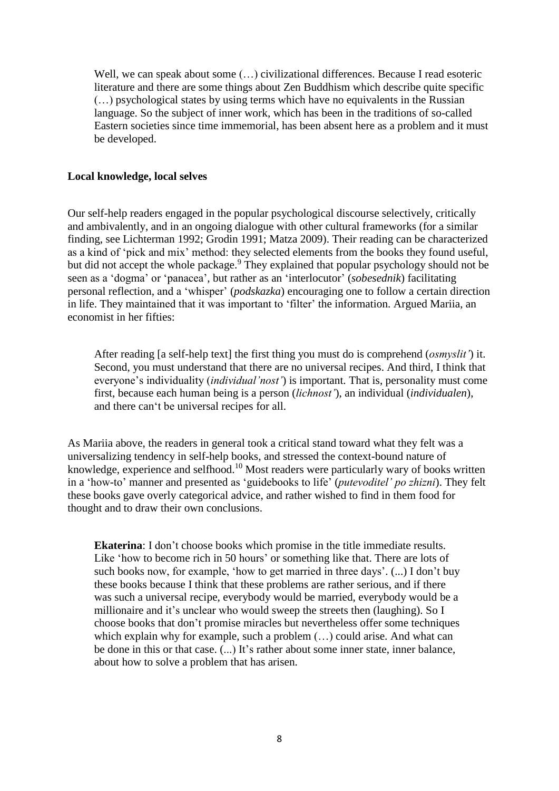Well, we can speak about some  $(...)$  civilizational differences. Because I read esoteric literature and there are some things about Zen Buddhism which describe quite specific (…) psychological states by using terms which have no equivalents in the Russian language. So the subject of inner work, which has been in the traditions of so-called Eastern societies since time immemorial, has been absent here as a problem and it must be developed.

#### **Local knowledge, local selves**

Our self-help readers engaged in the popular psychological discourse selectively, critically and ambivalently, and in an ongoing dialogue with other cultural frameworks (for a similar finding, see Lichterman 1992; Grodin 1991; Matza 2009). Their reading can be characterized as a kind of 'pick and mix' method: they selected elements from the books they found useful, but did not accept the whole package.<sup>9</sup> They explained that popular psychology should not be seen as a 'dogma' or 'panacea', but rather as an 'interlocutor' (*sobesednik*) facilitating personal reflection, and a 'whisper' (*podskazka*) encouraging one to follow a certain direction in life. They maintained that it was important to 'filter' the information. Argued Mariia, an economist in her fifties:

After reading [a self-help text] the first thing you must do is comprehend (*osmyslit'*) it. Second, you must understand that there are no universal recipes. And third, I think that everyone's individuality (*individual'nost'*) is important. That is, personality must come first, because each human being is a person (*lichnost'*), an individual (*individualen*), and there can't be universal recipes for all.

As Mariia above, the readers in general took a critical stand toward what they felt was a universalizing tendency in self-help books, and stressed the context-bound nature of knowledge, experience and selfhood.<sup>10</sup> Most readers were particularly wary of books written in a 'how-to' manner and presented as 'guidebooks to life' (*putevoditel' po zhizni*). They felt these books gave overly categorical advice, and rather wished to find in them food for thought and to draw their own conclusions.

**Ekaterina**: I don't choose books which promise in the title immediate results. Like 'how to become rich in 50 hours' or something like that. There are lots of such books now, for example, 'how to get married in three days'. (...) I don't buy these books because I think that these problems are rather serious, and if there was such a universal recipe, everybody would be married, everybody would be a millionaire and it's unclear who would sweep the streets then (laughing). So I choose books that don't promise miracles but nevertheless offer some techniques which explain why for example, such a problem (…) could arise. And what can be done in this or that case. (...) It's rather about some inner state, inner balance, about how to solve a problem that has arisen.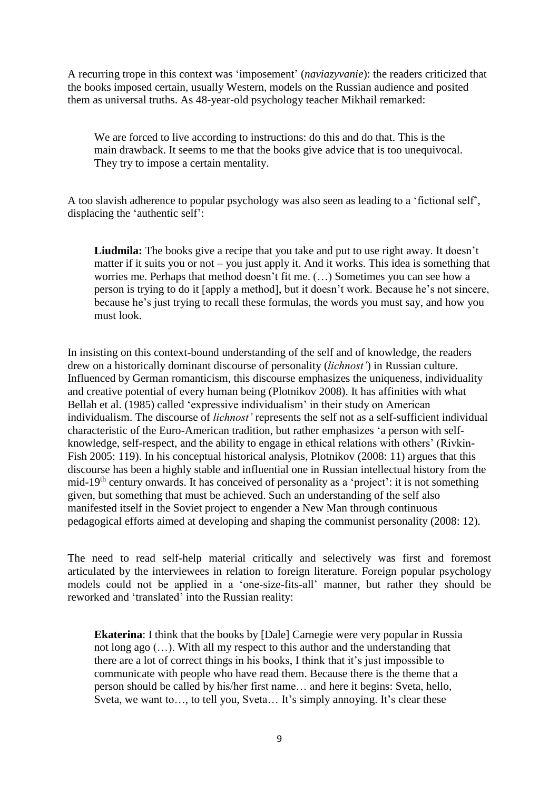A recurring trope in this context was 'imposement' (*naviazyvanie*): the readers criticized that the books imposed certain, usually Western, models on the Russian audience and posited them as universal truths. As 48-year-old psychology teacher Mikhail remarked:

We are forced to live according to instructions: do this and do that. This is the main drawback. It seems to me that the books give advice that is too unequivocal. They try to impose a certain mentality.

A too slavish adherence to popular psychology was also seen as leading to a 'fictional self', displacing the 'authentic self':

**Liudmila:** The books give a recipe that you take and put to use right away. It doesn't matter if it suits you or not – you just apply it. And it works. This idea is something that worries me. Perhaps that method doesn't fit me. (…) Sometimes you can see how a person is trying to do it [apply a method], but it doesn't work. Because he's not sincere, because he's just trying to recall these formulas, the words you must say, and how you must look.

In insisting on this context-bound understanding of the self and of knowledge, the readers drew on a historically dominant discourse of personality (*lichnost'*) in Russian culture. Influenced by German romanticism, this discourse emphasizes the uniqueness, individuality and creative potential of every human being (Plotnikov 2008). It has affinities with what Bellah et al. (1985) called 'expressive individualism' in their study on American individualism. The discourse of *lichnost'* represents the self not as a self-sufficient individual characteristic of the Euro-American tradition, but rather emphasizes 'a person with selfknowledge, self-respect, and the ability to engage in ethical relations with others' (Rivkin-Fish 2005: 119). In his conceptual historical analysis, Plotnikov (2008: 11) argues that this discourse has been a highly stable and influential one in Russian intellectual history from the mid-19th century onwards. It has conceived of personality as a 'project': it is not something given, but something that must be achieved. Such an understanding of the self also manifested itself in the Soviet project to engender a New Man through continuous pedagogical efforts aimed at developing and shaping the communist personality (2008: 12).

The need to read self-help material critically and selectively was first and foremost articulated by the interviewees in relation to foreign literature. Foreign popular psychology models could not be applied in a 'one-size-fits-all' manner, but rather they should be reworked and 'translated' into the Russian reality:

**Ekaterina**: I think that the books by [Dale] Carnegie were very popular in Russia not long ago (…). With all my respect to this author and the understanding that there are a lot of correct things in his books, I think that it's just impossible to communicate with people who have read them. Because there is the theme that a person should be called by his/her first name… and here it begins: Sveta, hello, Sveta, we want to..., to tell you, Sveta... It's simply annoying. It's clear these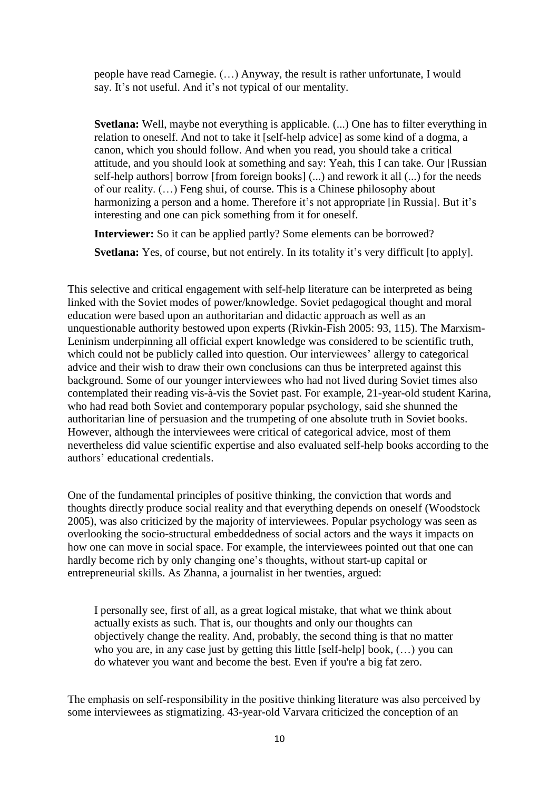people have read Carnegie. (…) Anyway, the result is rather unfortunate, I would say. It's not useful. And it's not typical of our mentality.

**Svetlana:** Well, maybe not everything is applicable. (...) One has to filter everything in relation to oneself. And not to take it [self-help advice] as some kind of a dogma, a canon, which you should follow. And when you read, you should take a critical attitude, and you should look at something and say: Yeah, this I can take. Our [Russian self-help authors] borrow [from foreign books] (...) and rework it all (...) for the needs of our reality. (…) Feng shui, of course. This is a Chinese philosophy about harmonizing a person and a home. Therefore it's not appropriate [in Russia]. But it's interesting and one can pick something from it for oneself.

**Interviewer:** So it can be applied partly? Some elements can be borrowed? **Svetlana:** Yes, of course, but not entirely. In its totality it's very difficult [to apply].

This selective and critical engagement with self-help literature can be interpreted as being linked with the Soviet modes of power/knowledge. Soviet pedagogical thought and moral education were based upon an authoritarian and didactic approach as well as an unquestionable authority bestowed upon experts (Rivkin-Fish 2005: 93, 115). The Marxism-Leninism underpinning all official expert knowledge was considered to be scientific truth, which could not be publicly called into question. Our interviewees' allergy to categorical advice and their wish to draw their own conclusions can thus be interpreted against this background. Some of our younger interviewees who had not lived during Soviet times also contemplated their reading vis-à-vis the Soviet past. For example, 21-year-old student Karina, who had read both Soviet and contemporary popular psychology, said she shunned the authoritarian line of persuasion and the trumpeting of one absolute truth in Soviet books. However, although the interviewees were critical of categorical advice, most of them nevertheless did value scientific expertise and also evaluated self-help books according to the authors' educational credentials.

One of the fundamental principles of positive thinking, the conviction that words and thoughts directly produce social reality and that everything depends on oneself (Woodstock 2005), was also criticized by the majority of interviewees. Popular psychology was seen as overlooking the socio-structural embeddedness of social actors and the ways it impacts on how one can move in social space. For example, the interviewees pointed out that one can hardly become rich by only changing one's thoughts, without start-up capital or entrepreneurial skills. As Zhanna, a journalist in her twenties, argued:

I personally see, first of all, as a great logical mistake, that what we think about actually exists as such. That is, our thoughts and only our thoughts can objectively change the reality. And, probably, the second thing is that no matter who you are, in any case just by getting this little [self-help] book, (…) you can do whatever you want and become the best. Even if you're a big fat zero.

The emphasis on self-responsibility in the positive thinking literature was also perceived by some interviewees as stigmatizing. 43-year-old Varvara criticized the conception of an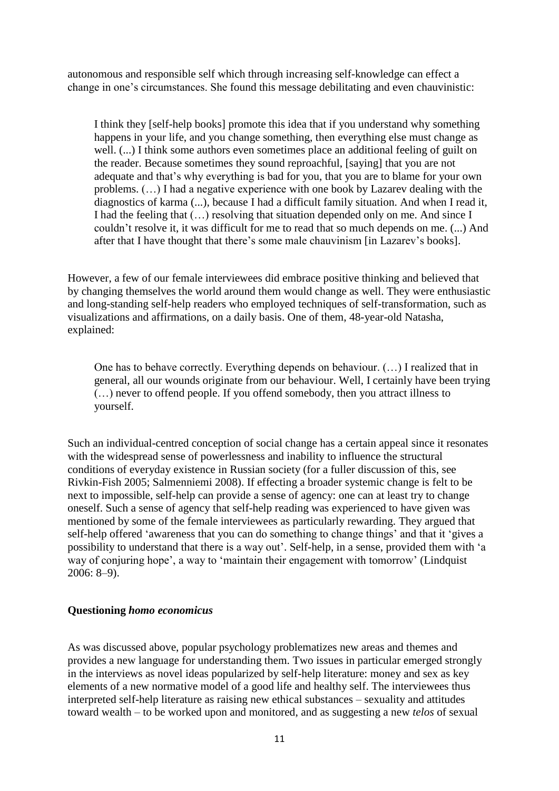autonomous and responsible self which through increasing self-knowledge can effect a change in one's circumstances. She found this message debilitating and even chauvinistic:

I think they [self-help books] promote this idea that if you understand why something happens in your life, and you change something, then everything else must change as well. (...) I think some authors even sometimes place an additional feeling of guilt on the reader. Because sometimes they sound reproachful, [saying] that you are not adequate and that's why everything is bad for you, that you are to blame for your own problems. (…) I had a negative experience with one book by Lazarev dealing with the diagnostics of karma (...), because I had a difficult family situation. And when I read it, I had the feeling that (…) resolving that situation depended only on me. And since I couldn't resolve it, it was difficult for me to read that so much depends on me. (...) And after that I have thought that there's some male chauvinism [in Lazarev's books].

However, a few of our female interviewees did embrace positive thinking and believed that by changing themselves the world around them would change as well. They were enthusiastic and long-standing self-help readers who employed techniques of self-transformation, such as visualizations and affirmations, on a daily basis. One of them, 48-year-old Natasha, explained:

One has to behave correctly. Everything depends on behaviour. (…) I realized that in general, all our wounds originate from our behaviour. Well, I certainly have been trying (…) never to offend people. If you offend somebody, then you attract illness to yourself.

Such an individual-centred conception of social change has a certain appeal since it resonates with the widespread sense of powerlessness and inability to influence the structural conditions of everyday existence in Russian society (for a fuller discussion of this, see Rivkin-Fish 2005; Salmenniemi 2008). If effecting a broader systemic change is felt to be next to impossible, self-help can provide a sense of agency: one can at least try to change oneself. Such a sense of agency that self-help reading was experienced to have given was mentioned by some of the female interviewees as particularly rewarding. They argued that self-help offered 'awareness that you can do something to change things' and that it 'gives a possibility to understand that there is a way out'. Self-help, in a sense, provided them with 'a way of conjuring hope', a way to 'maintain their engagement with tomorrow' (Lindquist 2006: 8–9).

#### **Questioning** *homo economicus*

As was discussed above, popular psychology problematizes new areas and themes and provides a new language for understanding them. Two issues in particular emerged strongly in the interviews as novel ideas popularized by self-help literature: money and sex as key elements of a new normative model of a good life and healthy self. The interviewees thus interpreted self-help literature as raising new ethical substances – sexuality and attitudes toward wealth – to be worked upon and monitored, and as suggesting a new *telos* of sexual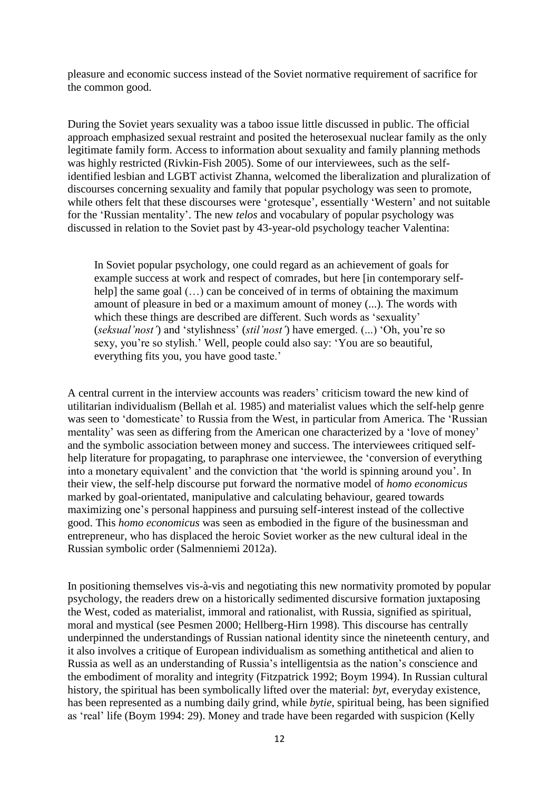pleasure and economic success instead of the Soviet normative requirement of sacrifice for the common good.

During the Soviet years sexuality was a taboo issue little discussed in public. The official approach emphasized sexual restraint and posited the heterosexual nuclear family as the only legitimate family form. Access to information about sexuality and family planning methods was highly restricted (Rivkin-Fish 2005). Some of our interviewees, such as the selfidentified lesbian and LGBT activist Zhanna, welcomed the liberalization and pluralization of discourses concerning sexuality and family that popular psychology was seen to promote, while others felt that these discourses were 'grotesque', essentially 'Western' and not suitable for the 'Russian mentality'. The new *telos* and vocabulary of popular psychology was discussed in relation to the Soviet past by 43-year-old psychology teacher Valentina:

In Soviet popular psychology, one could regard as an achievement of goals for example success at work and respect of comrades, but here [in contemporary selfhelp] the same goal  $(...)$  can be conceived of in terms of obtaining the maximum amount of pleasure in bed or a maximum amount of money (...). The words with which these things are described are different. Such words as 'sexuality' (*seksual'nost'*) and 'stylishness' (*stil'nost'*) have emerged. (...) 'Oh, you're so sexy, you're so stylish.' Well, people could also say: 'You are so beautiful, everything fits you, you have good taste.'

A central current in the interview accounts was readers' criticism toward the new kind of utilitarian individualism (Bellah et al. 1985) and materialist values which the self-help genre was seen to 'domesticate' to Russia from the West, in particular from America. The 'Russian mentality' was seen as differing from the American one characterized by a 'love of money' and the symbolic association between money and success. The interviewees critiqued selfhelp literature for propagating, to paraphrase one interviewee, the 'conversion of everything into a monetary equivalent' and the conviction that 'the world is spinning around you'. In their view, the self-help discourse put forward the normative model of *homo economicus* marked by goal-orientated, manipulative and calculating behaviour, geared towards maximizing one's personal happiness and pursuing self-interest instead of the collective good. This *homo economicus* was seen as embodied in the figure of the businessman and entrepreneur, who has displaced the heroic Soviet worker as the new cultural ideal in the Russian symbolic order (Salmenniemi 2012a).

In positioning themselves vis-à-vis and negotiating this new normativity promoted by popular psychology, the readers drew on a historically sedimented discursive formation juxtaposing the West, coded as materialist, immoral and rationalist, with Russia, signified as spiritual, moral and mystical (see Pesmen 2000; Hellberg-Hirn 1998). This discourse has centrally underpinned the understandings of Russian national identity since the nineteenth century, and it also involves a critique of European individualism as something antithetical and alien to Russia as well as an understanding of Russia's intelligentsia as the nation's conscience and the embodiment of morality and integrity (Fitzpatrick 1992; Boym 1994). In Russian cultural history, the spiritual has been symbolically lifted over the material: *byt*, everyday existence, has been represented as a numbing daily grind, while *bytie*, spiritual being, has been signified as 'real' life (Boym 1994: 29). Money and trade have been regarded with suspicion (Kelly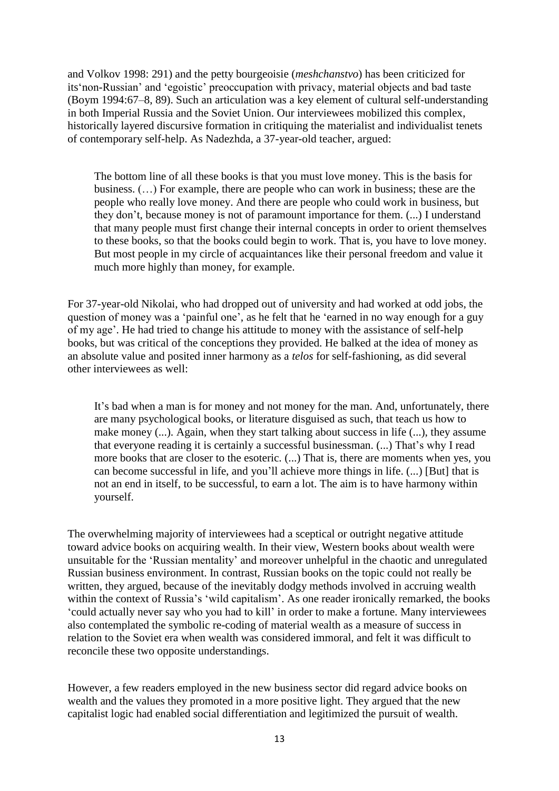and Volkov 1998: 291) and the petty bourgeoisie (*meshchanstvo*) has been criticized for its'non-Russian' and 'egoistic' preoccupation with privacy, material objects and bad taste (Boym 1994:67–8, 89). Such an articulation was a key element of cultural self-understanding in both Imperial Russia and the Soviet Union. Our interviewees mobilized this complex, historically layered discursive formation in critiquing the materialist and individualist tenets of contemporary self-help. As Nadezhda, a 37-year-old teacher, argued:

The bottom line of all these books is that you must love money. This is the basis for business. (…) For example, there are people who can work in business; these are the people who really love money. And there are people who could work in business, but they don't, because money is not of paramount importance for them. (...) I understand that many people must first change their internal concepts in order to orient themselves to these books, so that the books could begin to work. That is, you have to love money. But most people in my circle of acquaintances like their personal freedom and value it much more highly than money, for example.

For 37-year-old Nikolai, who had dropped out of university and had worked at odd jobs, the question of money was a 'painful one', as he felt that he 'earned in no way enough for a guy of my age'. He had tried to change his attitude to money with the assistance of self-help books, but was critical of the conceptions they provided. He balked at the idea of money as an absolute value and posited inner harmony as a *telos* for self-fashioning, as did several other interviewees as well:

It's bad when a man is for money and not money for the man. And, unfortunately, there are many psychological books, or literature disguised as such, that teach us how to make money (...). Again, when they start talking about success in life (...), they assume that everyone reading it is certainly a successful businessman. (...) That's why I read more books that are closer to the esoteric. (...) That is, there are moments when yes, you can become successful in life, and you'll achieve more things in life. (...) [But] that is not an end in itself, to be successful, to earn a lot. The aim is to have harmony within yourself.

The overwhelming majority of interviewees had a sceptical or outright negative attitude toward advice books on acquiring wealth. In their view, Western books about wealth were unsuitable for the 'Russian mentality' and moreover unhelpful in the chaotic and unregulated Russian business environment. In contrast, Russian books on the topic could not really be written, they argued, because of the inevitably dodgy methods involved in accruing wealth within the context of Russia's 'wild capitalism'. As one reader ironically remarked, the books 'could actually never say who you had to kill' in order to make a fortune. Many interviewees also contemplated the symbolic re-coding of material wealth as a measure of success in relation to the Soviet era when wealth was considered immoral, and felt it was difficult to reconcile these two opposite understandings.

However, a few readers employed in the new business sector did regard advice books on wealth and the values they promoted in a more positive light. They argued that the new capitalist logic had enabled social differentiation and legitimized the pursuit of wealth.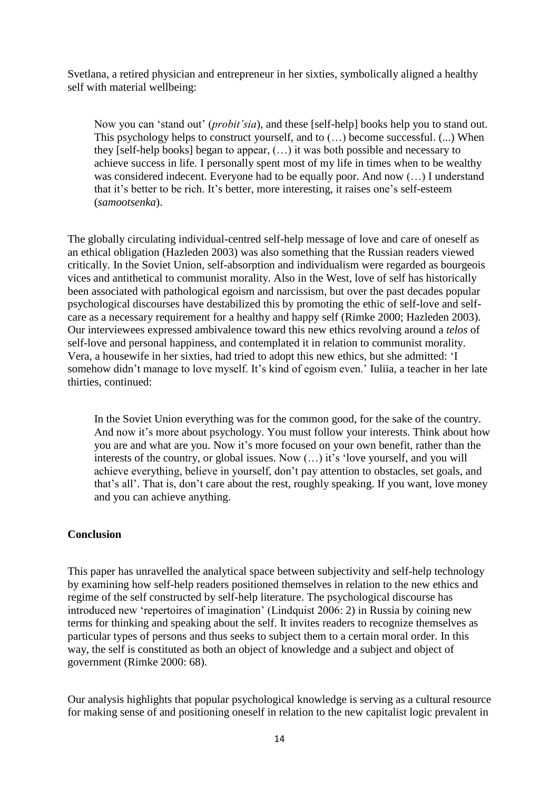Svetlana, a retired physician and entrepreneur in her sixties, symbolically aligned a healthy self with material wellbeing:

Now you can 'stand out' (*probit'sia*), and these [self-help] books help you to stand out. This psychology helps to construct yourself, and to (…) become successful. (...) When they [self-help books] began to appear, (…) it was both possible and necessary to achieve success in life. I personally spent most of my life in times when to be wealthy was considered indecent. Everyone had to be equally poor. And now (…) I understand that it's better to be rich. It's better, more interesting, it raises one's self-esteem (*samootsenka*).

The globally circulating individual-centred self-help message of love and care of oneself as an ethical obligation (Hazleden 2003) was also something that the Russian readers viewed critically. In the Soviet Union, self-absorption and individualism were regarded as bourgeois vices and antithetical to communist morality. Also in the West, love of self has historically been associated with pathological egoism and narcissism, but over the past decades popular psychological discourses have destabilized this by promoting the ethic of self-love and selfcare as a necessary requirement for a healthy and happy self (Rimke 2000; Hazleden 2003). Our interviewees expressed ambivalence toward this new ethics revolving around a *telos* of self-love and personal happiness, and contemplated it in relation to communist morality. Vera, a housewife in her sixties, had tried to adopt this new ethics, but she admitted: 'I somehow didn't manage to love myself. It's kind of egoism even.' Iuliia, a teacher in her late thirties, continued:

In the Soviet Union everything was for the common good, for the sake of the country. And now it's more about psychology. You must follow your interests. Think about how you are and what are you. Now it's more focused on your own benefit, rather than the interests of the country, or global issues. Now (…) it's 'love yourself, and you will achieve everything, believe in yourself, don't pay attention to obstacles, set goals, and that's all'. That is, don't care about the rest, roughly speaking. If you want, love money and you can achieve anything.

## **Conclusion**

This paper has unravelled the analytical space between subjectivity and self-help technology by examining how self-help readers positioned themselves in relation to the new ethics and regime of the self constructed by self-help literature. The psychological discourse has introduced new 'repertoires of imagination' (Lindquist 2006: 2) in Russia by coining new terms for thinking and speaking about the self. It invites readers to recognize themselves as particular types of persons and thus seeks to subject them to a certain moral order. In this way, the self is constituted as both an object of knowledge and a subject and object of government (Rimke 2000: 68).

Our analysis highlights that popular psychological knowledge is serving as a cultural resource for making sense of and positioning oneself in relation to the new capitalist logic prevalent in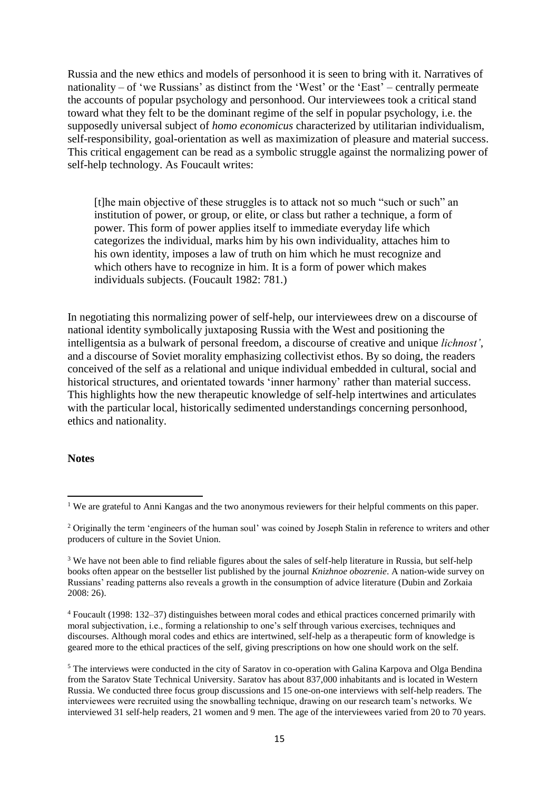Russia and the new ethics and models of personhood it is seen to bring with it. Narratives of nationality – of 'we Russians' as distinct from the 'West' or the 'East' – centrally permeate the accounts of popular psychology and personhood. Our interviewees took a critical stand toward what they felt to be the dominant regime of the self in popular psychology, i.e. the supposedly universal subject of *homo economicus* characterized by utilitarian individualism, self-responsibility, goal-orientation as well as maximization of pleasure and material success. This critical engagement can be read as a symbolic struggle against the normalizing power of self-help technology. As Foucault writes:

[t]he main objective of these struggles is to attack not so much "such or such" an institution of power, or group, or elite, or class but rather a technique, a form of power. This form of power applies itself to immediate everyday life which categorizes the individual, marks him by his own individuality, attaches him to his own identity, imposes a law of truth on him which he must recognize and which others have to recognize in him. It is a form of power which makes individuals subjects. (Foucault 1982: 781.)

In negotiating this normalizing power of self-help, our interviewees drew on a discourse of national identity symbolically juxtaposing Russia with the West and positioning the intelligentsia as a bulwark of personal freedom, a discourse of creative and unique *lichnost'*, and a discourse of Soviet morality emphasizing collectivist ethos. By so doing, the readers conceived of the self as a relational and unique individual embedded in cultural, social and historical structures, and orientated towards 'inner harmony' rather than material success. This highlights how the new therapeutic knowledge of self-help intertwines and articulates with the particular local, historically sedimented understandings concerning personhood, ethics and nationality.

#### **Notes**

**.** 

<sup>&</sup>lt;sup>1</sup> We are grateful to Anni Kangas and the two anonymous reviewers for their helpful comments on this paper.

<sup>&</sup>lt;sup>2</sup> Originally the term 'engineers of the human soul' was coined by Joseph Stalin in reference to writers and other producers of culture in the Soviet Union.

<sup>&</sup>lt;sup>3</sup> We have not been able to find reliable figures about the sales of self-help literature in Russia, but self-help books often appear on the bestseller list published by the journal *Knizhnoe obozrenie*. A nation-wide survey on Russians' reading patterns also reveals a growth in the consumption of advice literature (Dubin and Zorkaia 2008: 26).

<sup>4</sup> Foucault (1998: 132–37) distinguishes between moral codes and ethical practices concerned primarily with moral subjectivation, i.e., forming a relationship to one's self through various exercises, techniques and discourses. Although moral codes and ethics are intertwined, self-help as a therapeutic form of knowledge is geared more to the ethical practices of the self, giving prescriptions on how one should work on the self.

<sup>5</sup> The interviews were conducted in the city of Saratov in co-operation with Galina Karpova and Olga Bendina from the Saratov State Technical University. Saratov has about 837,000 inhabitants and is located in Western Russia. We conducted three focus group discussions and 15 one-on-one interviews with self-help readers. The interviewees were recruited using the snowballing technique, drawing on our research team's networks. We interviewed 31 self-help readers, 21 women and 9 men. The age of the interviewees varied from 20 to 70 years.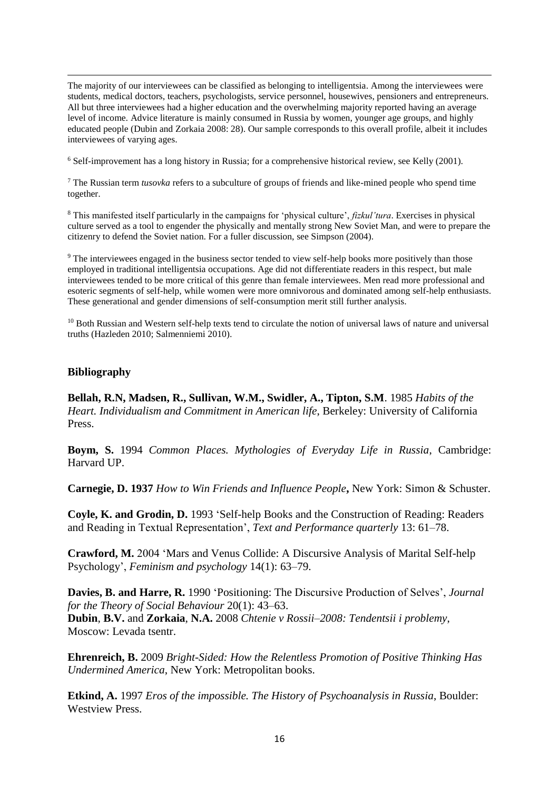1 The majority of our interviewees can be classified as belonging to intelligentsia. Among the interviewees were students, medical doctors, teachers, psychologists, service personnel, housewives, pensioners and entrepreneurs. All but three interviewees had a higher education and the overwhelming majority reported having an average level of income. Advice literature is mainly consumed in Russia by women, younger age groups, and highly educated people (Dubin and Zorkaia 2008: 28). Our sample corresponds to this overall profile, albeit it includes interviewees of varying ages.

<sup>6</sup> Self-improvement has a long history in Russia; for a comprehensive historical review, see Kelly (2001).

<sup>7</sup> The Russian term *tusovka* refers to a subculture of groups of friends and like-mined people who spend time together.

<sup>8</sup> This manifested itself particularly in the campaigns for 'physical culture', *fizkul'tura*. Exercises in physical culture served as a tool to engender the physically and mentally strong New Soviet Man, and were to prepare the citizenry to defend the Soviet nation. For a fuller discussion, see Simpson (2004).

<sup>9</sup> The interviewees engaged in the business sector tended to view self-help books more positively than those employed in traditional intelligentsia occupations. Age did not differentiate readers in this respect, but male interviewees tended to be more critical of this genre than female interviewees. Men read more professional and esoteric segments of self-help, while women were more omnivorous and dominated among self-help enthusiasts. These generational and gender dimensions of self-consumption merit still further analysis.

<sup>10</sup> Both Russian and Western self-help texts tend to circulate the notion of universal laws of nature and universal truths (Hazleden 2010; Salmenniemi 2010).

## **Bibliography**

**Bellah, R.N, Madsen, R., Sullivan, W.M., Swidler, A., Tipton, S.M**. 1985 *Habits of the Heart. Individualism and Commitment in American life*, Berkeley: University of California Press.

**Boym, S.** 1994 *Common Places. Mythologies of Everyday Life in Russia*, Cambridge: Harvard UP.

**Carnegie, D. 1937** *How to Win Friends and Influence People***,** New York: Simon & Schuster.

**Coyle, K. and Grodin, D.** 1993 'Self-help Books and the Construction of Reading: Readers and Reading in Textual Representation', *Text and Performance quarterly* 13: 61–78.

**Crawford, M.** 2004 'Mars and Venus Collide: A Discursive Analysis of Marital Self-help Psychology', *Feminism and psychology* 14(1): 63–79.

**Davies, B. and Harre, R.** 1990 'Positioning: The Discursive Production of Selves', *Journal for the Theory of Social Behaviour* 20(1): 43–63. **Dubin**, **B.V.** and **Zorkaia**, **N.A.** 2008 *Chtenie v Rossii–2008: Tendentsii i problemy*, Moscow: Levada tsentr.

**Ehrenreich, B.** 2009 *Bright-Sided: How the Relentless Promotion of Positive Thinking Has Undermined America*, New York: Metropolitan books.

**Etkind, A.** 1997 *Eros of the impossible. The History of Psychoanalysis in Russia*, Boulder: Westview Press.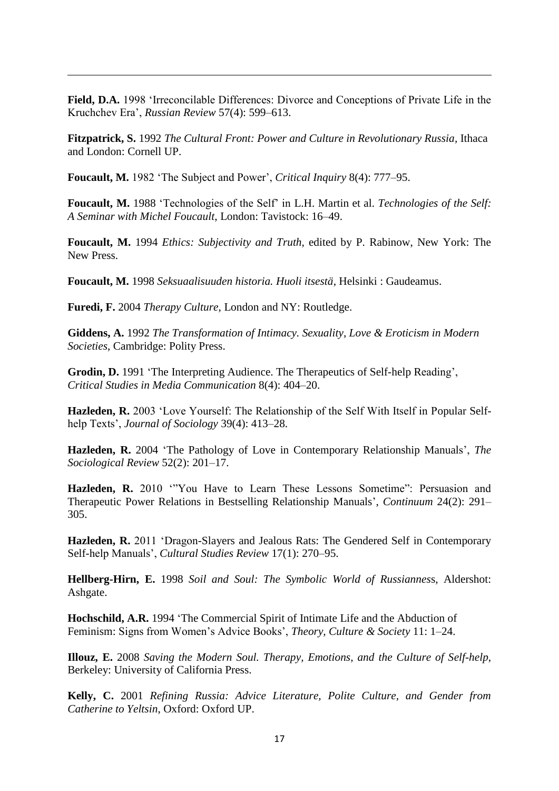**Field, D.A.** 1998 'Irreconcilable Differences: Divorce and Conceptions of Private Life in the Kruchchev Era', *Russian Review* 57(4): 599–613.

**Fitzpatrick, S.** 1992 *The Cultural Front: Power and Culture in Revolutionary Russia,* Ithaca and London: Cornell UP.

**Foucault, M.** 1982 'The Subject and Power', *Critical Inquiry* 8(4): 777–95.

**Foucault, M.** 1988 'Technologies of the Self' in L.H. Martin et al. *Technologies of the Self: A Seminar with Michel Foucault*, London: Tavistock: 16–49.

**Foucault, M.** 1994 *Ethics: Subjectivity and Truth*, edited by P. Rabinow, New York: The New Press.

**Foucault, M.** 1998 *Seksuaalisuuden historia. Huoli itsestä*, Helsinki : Gaudeamus.

**Furedi, F.** 2004 *Therapy Culture*, London and NY: Routledge.

1

**Giddens, A.** 1992 *The Transformation of Intimacy. Sexuality, Love & Eroticism in Modern Societies*, Cambridge: Polity Press.

**Grodin, D.** 1991 'The Interpreting Audience. The Therapeutics of Self-help Reading', *Critical Studies in Media Communication* 8(4): 404–20.

**Hazleden, R.** 2003 'Love Yourself: The Relationship of the Self With Itself in Popular Selfhelp Texts', *Journal of Sociology* 39(4): 413–28.

**Hazleden, R.** 2004 'The Pathology of Love in Contemporary Relationship Manuals', *The Sociological Review* 52(2): 201–17.

Hazleden, R. 2010 "You Have to Learn These Lessons Sometime": Persuasion and Therapeutic Power Relations in Bestselling Relationship Manuals', *Continuum* 24(2): 291– 305.

**Hazleden, R.** 2011 'Dragon-Slayers and Jealous Rats: The Gendered Self in Contemporary Self-help Manuals', *Cultural Studies Review* 17(1): 270–95.

**Hellberg-Hirn, E.** 1998 *Soil and Soul: The Symbolic World of Russiannes*s, Aldershot: Ashgate.

**Hochschild, A.R.** 1994 'The Commercial Spirit of Intimate Life and the Abduction of Feminism: Signs from Women's Advice Books', *Theory, Culture & Society* 11: 1–24.

**Illouz, E.** 2008 *Saving the Modern Soul. Therapy, Emotions, and the Culture of Self-help*, Berkeley: University of California Press.

**Kelly, C.** 2001 *Refining Russia: Advice Literature, Polite Culture, and Gender from Catherine to Yeltsin*, Oxford: Oxford UP.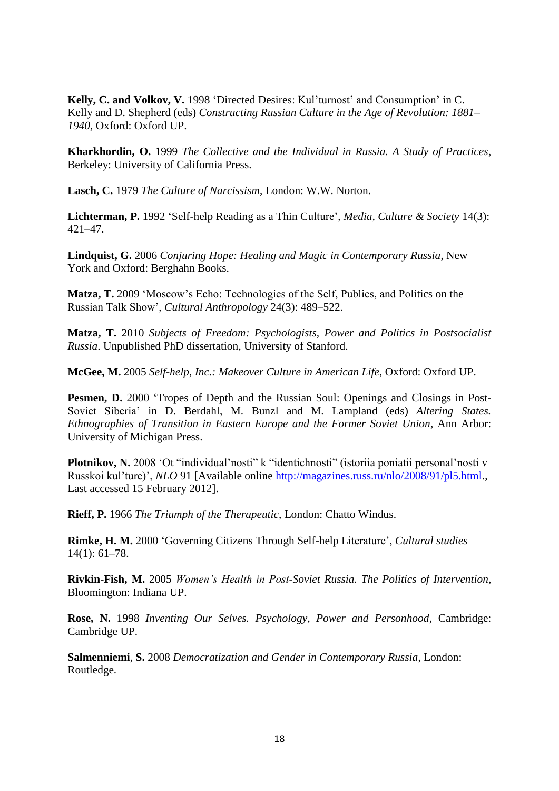**Kelly, C. and Volkov, V.** 1998 'Directed Desires: Kul'turnost' and Consumption' in C. Kelly and D. Shepherd (eds) *Constructing Russian Culture in the Age of Revolution: 1881*– *1940*, Oxford: Oxford UP.

**Kharkhordin, O.** 1999 *The Collective and the Individual in Russia. A Study of Practices*, Berkeley: University of California Press.

**Lasch, C.** 1979 *The Culture of Narcissism*, London: W.W. Norton.

1

**Lichterman, P.** 1992 'Self-help Reading as a Thin Culture', *Media, Culture & Society* 14(3): 421–47.

**Lindquist, G.** 2006 *Conjuring Hope: Healing and Magic in Contemporary Russia*, New York and Oxford: Berghahn Books.

**Matza, T.** 2009 'Moscow's Echo: Technologies of the Self, Publics, and Politics on the Russian Talk Show', *Cultural Anthropology* 24(3): 489–522.

**Matza, T.** 2010 *Subjects of Freedom: Psychologists, Power and Politics in Postsocialist Russia*. Unpublished PhD dissertation, University of Stanford.

**McGee, M.** 2005 *Self-help, Inc.: Makeover Culture in American Life*, Oxford: Oxford UP.

**Pesmen, D.** 2000 'Tropes of Depth and the Russian Soul: Openings and Closings in Post-Soviet Siberia' in D. Berdahl, M. Bunzl and M. Lampland (eds) *Altering States. Ethnographies of Transition in Eastern Europe and the Former Soviet Union*, Ann Arbor: University of Michigan Press.

**Plotnikov, N.** 2008 'Ot "individual'nosti" k "identichnosti" (istoriia poniatii personal'nosti v Russkoi kul'ture)', *NLO* 91 [Available online [http://magazines.russ.ru/nlo/2008/91/pl5.html.](http://magazines.russ.ru/nlo/2008/91/pl5.html), Last accessed 15 February 2012].

**Rieff, P.** 1966 *The Triumph of the Therapeutic*, London: Chatto Windus.

**Rimke, H. M.** 2000 'Governing Citizens Through Self-help Literature', *Cultural studies* 14(1): 61–78.

**Rivkin-Fish, M.** 2005 *Women's Health in Post-Soviet Russia. The Politics of Intervention*, Bloomington: Indiana UP.

**Rose, N.** 1998 *Inventing Our Selves. Psychology, Power and Personhood*, Cambridge: Cambridge UP.

**Salmenniemi**, **S.** 2008 *Democratization and Gender in Contemporary Russia*, London: Routledge.